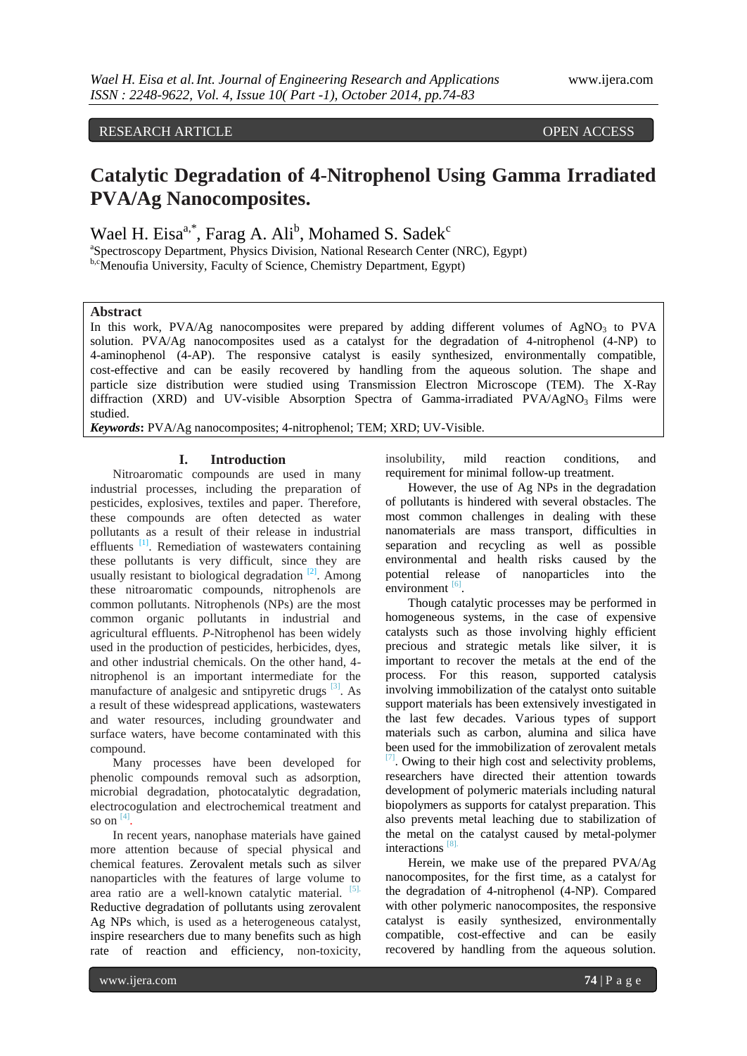# RESEARCH ARTICLE OPEN ACCESS

# **Catalytic Degradation of 4-Nitrophenol Using Gamma Irradiated PVA/Ag Nanocomposites.**

Wael H. Eisa<sup>a,\*</sup>, Farag A. Ali<sup>b</sup>, Mohamed S. Sadek<sup>c</sup>

<sup>a</sup>Spectroscopy Department, Physics Division, National Research Center (NRC), Egypt) b,cMenoufia University, Faculty of Science, Chemistry Department, Egypt)

# **Abstract**

In this work, PVA/Ag nanocomposites were prepared by adding different volumes of  $AgNO<sub>3</sub>$  to PVA solution. PVA/Ag nanocomposites used as a catalyst for the degradation of 4-nitrophenol (4-NP) to 4-aminophenol (4-AP). The responsive catalyst is easily synthesized, environmentally compatible, cost-effective and can be easily recovered by handling from the aqueous solution. The shape and particle size distribution were studied using Transmission Electron Microscope (TEM). The X-Ray diffraction (XRD) and UV-visible Absorption Spectra of Gamma-irradiated  $PVA/AgNO<sub>3</sub>$  Films were studied.

*Keywords***:** PVA/Ag nanocomposites; 4-nitrophenol; TEM; XRD; UV-Visible.

## **I. Introduction**

Nitroaromatic compounds are used in many industrial processes, including the preparation of pesticides, explosives, textiles and paper. Therefore, these compounds are often detected as water pollutants as a result of their release in industrial effluents<sup>[1]</sup>. Remediation of wastewaters containing these pollutants is very difficult, since they are usually resistant to biological degradation  $[2]$ . Among these nitroaromatic compounds, nitrophenols are common pollutants. Nitrophenols (NPs) are the most common organic pollutants in industrial and agricultural effluents. *P*-Nitrophenol has been widely used in the production of pesticides, herbicides, dyes, and other industrial chemicals. On the other hand, 4 nitrophenol is an important intermediate for the manufacture of analgesic and sntipyretic drugs  $[3]$ . As a result of these widespread applications, wastewaters and water resources, including groundwater and surface waters, have become contaminated with this compound.

Many processes have been developed for phenolic compounds removal such as adsorption, microbial degradation, photocatalytic degradation, electrocogulation and electrochemical treatment and so on  $[4]$ .

In recent years, nanophase materials have gained more attention because of special physical and chemical features. Zerovalent metals such as silver nanoparticles with the features of large volume to area ratio are a well-known catalytic material. [5]. Reductive degradation of pollutants using zerovalent Ag NPs which, is used as a heterogeneous catalyst, inspire researchers due to many benefits such as high rate of reaction and efficiency, non-toxicity,

insolubility, mild reaction conditions, and requirement for minimal follow-up treatment.

However, the use of Ag NPs in the degradation of pollutants is hindered with several obstacles. The most common challenges in dealing with these nanomaterials are mass transport, difficulties in separation and recycling as well as possible environmental and health risks caused by the potential release of nanoparticles into the  $\frac{1}{2}$  environment  $\frac{1}{2}$ .

Though catalytic processes may be performed in homogeneous systems, in the case of expensive catalysts such as those involving highly efficient precious and strategic metals like silver, it is important to recover the metals at the end of the process. For this reason, supported catalysis involving immobilization of the catalyst onto suitable support materials has been extensively investigated in the last few decades. Various types of support materials such as carbon, alumina and silica have been used for the immobilization of zerovalent metals  $[7]$ . Owing to their high cost and selectivity problems, researchers have directed their attention towards development of polymeric materials including natural biopolymers as supports for catalyst preparation. This also prevents metal leaching due to stabilization of the metal on the catalyst caused by metal-polymer interactions  $[8]$ .

Herein, we make use of the prepared PVA/Ag nanocomposites, for the first time, as a catalyst for the degradation of 4-nitrophenol (4-NP). Compared with other polymeric nanocomposites, the responsive catalyst is easily synthesized, environmentally compatible, cost-effective and can be easily recovered by handling from the aqueous solution.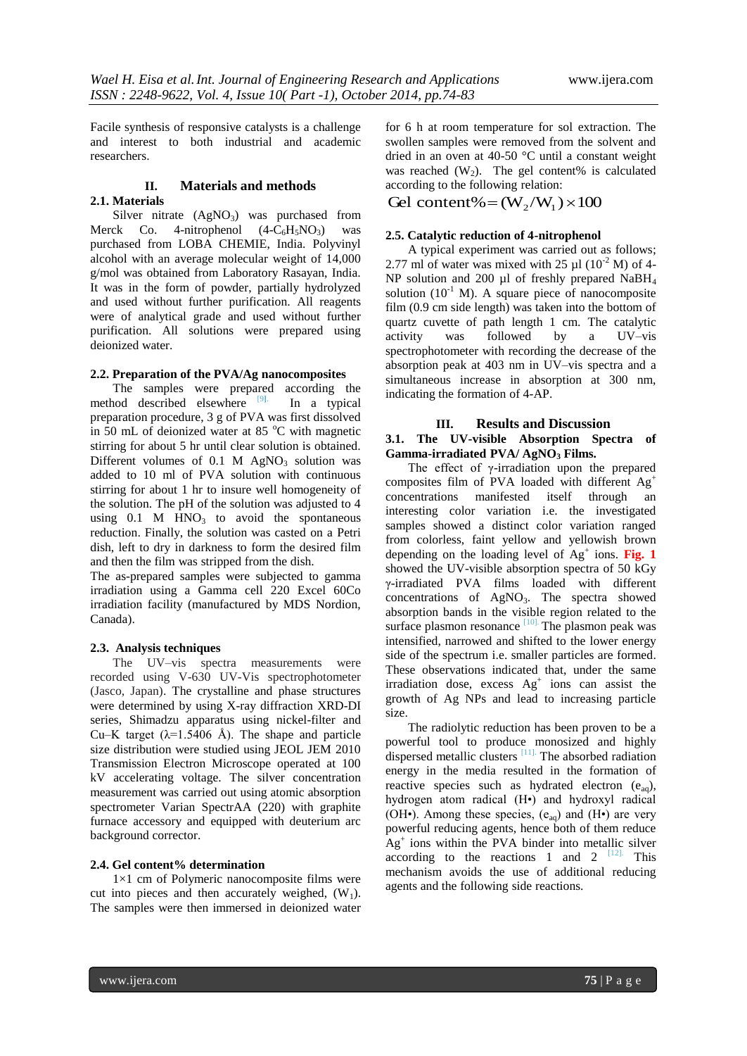Facile synthesis of responsive catalysts is a challenge and interest to both industrial and academic researchers.

# **II. Materials and methods**

# **2.1. Materials**

# Silver nitrate  $(AgNO<sub>3</sub>)$  was purchased from Merck Co. 4-nitrophenol  $(4-C<sub>6</sub>H<sub>5</sub>NO<sub>3</sub>)$  was purchased from LOBA CHEMIE, India. Polyvinyl alcohol with an average molecular weight of 14,000 g/mol was obtained from Laboratory Rasayan, India. It was in the form of powder, partially hydrolyzed and used without further purification. All reagents were of analytical grade and used without further purification. All solutions were prepared using deionized water.

# **2.2. Preparation of the PVA/Ag nanocomposites**

The samples were prepared according the method described elsewhere [9**]**. In a typical preparation procedure, 3 g of PVA was first dissolved in 50 mL of deionized water at 85  $^{\circ}$ C with magnetic stirring for about 5 hr until clear solution is obtained. Different volumes of  $0.1$  M AgNO<sub>3</sub> solution was added to 10 ml of PVA solution with continuous stirring for about 1 hr to insure well homogeneity of the solution. The pH of the solution was adjusted to 4 using  $0.1$  M  $HNO<sub>3</sub>$  to avoid the spontaneous reduction. Finally, the solution was casted on a Petri dish, left to dry in darkness to form the desired film and then the film was stripped from the dish.

The as-prepared samples were subjected to gamma irradiation using a Gamma cell 220 Excel 60Co irradiation facility (manufactured by MDS Nordion, Canada).

#### **2.3. Analysis techniques**

The UV–vis spectra measurements were recorded using V-630 UV-Vis spectrophotometer (Jasco, Japan). The crystalline and phase structures were determined by using X-ray diffraction XRD-DI series, Shimadzu apparatus using nickel-filter and Cu–K target ( $\lambda$ =1.5406 Å). The shape and particle size distribution were studied using JEOL JEM 2010 Transmission Electron Microscope operated at 100 kV accelerating voltage. The silver concentration measurement was carried out using atomic absorption spectrometer Varian SpectrAA (220) with graphite furnace accessory and equipped with deuterium arc background corrector.

# **2.4. Gel content% determination**

1×1 cm of Polymeric nanocomposite films were cut into pieces and then accurately weighed,  $(W_1)$ . The samples were then immersed in deionized water for 6 h at room temperature for sol extraction. The swollen samples were removed from the solvent and dried in an oven at 40-50 °C until a constant weight was reached  $(W_2)$ . The gel content% is calculated according to the following relation:

Gel content% =  $(W_2/W_1) \times 100$ 

#### **2.5. Catalytic reduction of 4-nitrophenol**

A typical experiment was carried out as follows; 2.77 ml of water was mixed with 25  $\mu$ l (10<sup>-2</sup> M) of 4-NP solution and 200  $\mu$ l of freshly prepared NaBH<sub>4</sub> solution  $(10^{-1}$  M). A square piece of nanocomposite film (0.9 cm side length) was taken into the bottom of quartz cuvette of path length 1 cm. The catalytic activity was followed by a UV–vis spectrophotometer with recording the decrease of the absorption peak at 403 nm in UV–vis spectra and a simultaneous increase in absorption at 300 nm, indicating the formation of 4-AP.

# **III. Results and Discussion 3.1. The UV-visible Absorption Spectra of Gamma-irradiated PVA/ AgNO<sup>3</sup> Films.**

The effect of  $\gamma$ -irradiation upon the prepared composites film of PVA loaded with different Ag<sup>+</sup> concentrations manifested itself through an interesting color variation i.e. the investigated samples showed a distinct color variation ranged from colorless, faint yellow and yellowish brown depending on the loading level of  $Ag^+$  ions. Fig. 1 showed the UV-visible absorption spectra of 50 kGy γ-irradiated PVA films loaded with different concentrations of  $AgNO<sub>3</sub>$ . The spectra showed absorption bands in the visible region related to the surface plasmon resonance  $\frac{[10]}{[10]}$ . The plasmon peak was intensified, narrowed and shifted to the lower energy side of the spectrum i.e. smaller particles are formed. These observations indicated that, under the same irradiation dose, excess  $Ag<sup>+</sup>$  ions can assist the growth of Ag NPs and lead to increasing particle size.

The radiolytic reduction has been proven to be a powerful tool to produce monosized and highly dispersed metallic clusters [11]. The absorbed radiation energy in the media resulted in the formation of reactive species such as hydrated electron  $(e_{aq})$ , hydrogen atom radical (H•) and hydroxyl radical (OH•). Among these species,  $(e_{aq})$  and  $(H<sub>•</sub>)$  are very powerful reducing agents, hence both of them reduce  $\mathbf{A} \mathbf{g}^+$  ions within the PVA binder into metallic silver according to the reactions 1 and 2  $[12]$ . This mechanism avoids the use of additional reducing agents and the following side reactions.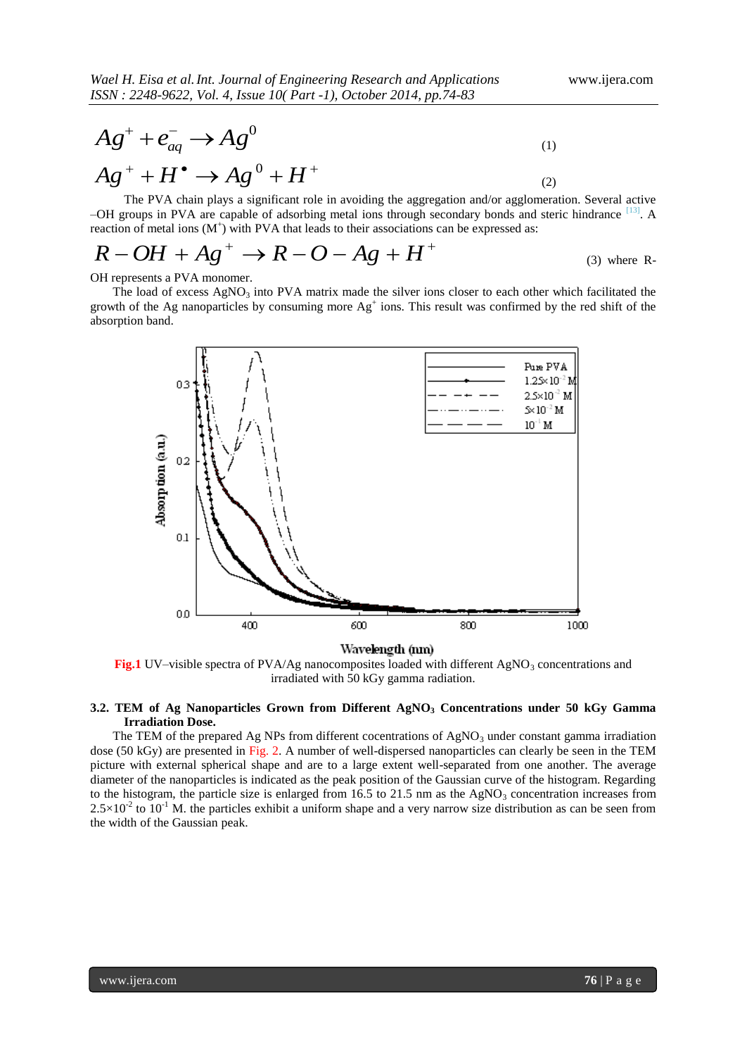$$
Ag^+ + e^-_{aq} \rightarrow Ag^0 \tag{1}
$$

$$
Ag^{+} + H^{\bullet} \to Ag^{0} + H^{+}
$$
 (2)

The PVA chain plays a significant role in avoiding the aggregation and/or agglomeration. Several active -OH groups in PVA are capable of adsorbing metal ions through secondary bonds and steric hindrance [13]. A reaction of metal ions  $(M^+)$  with PVA that leads to their associations can be expressed as:

$$
R-OH + Ag^{+} \rightarrow R-O-Ag + H^{+}
$$
\n(3) where R-

OH represents a PVA monomer.

The load of excess  $AgNO_3$  into PVA matrix made the silver ions closer to each other which facilitated the growth of the Ag nanoparticles by consuming more  $Ag<sup>+</sup>$  ions. This result was confirmed by the red shift of the absorption band.



**Fig.1** UV–visible spectra of PVA/Ag nanocomposites loaded with different AgNO<sub>3</sub> concentrations and irradiated with 50 kGy gamma radiation.

# **3.2. TEM of Ag Nanoparticles Grown from Different AgNO<sup>3</sup> Concentrations under 50 kGy Gamma Irradiation Dose.**

The TEM of the prepared Ag NPs from different cocentrations of  $AgNO<sub>3</sub>$  under constant gamma irradiation dose (50 kGy) are presented in Fig. 2. A number of well-dispersed nanoparticles can clearly be seen in the TEM picture with external spherical shape and are to a large extent well-separated from one another. The average diameter of the nanoparticles is indicated as the peak position of the Gaussian curve of the histogram. Regarding to the histogram, the particle size is enlarged from 16.5 to 21.5 nm as the AgNO<sub>3</sub> concentration increases from  $2.5 \times 10^{-2}$  to  $10^{-1}$  M. the particles exhibit a uniform shape and a very narrow size distribution as can be seen from the width of the Gaussian peak.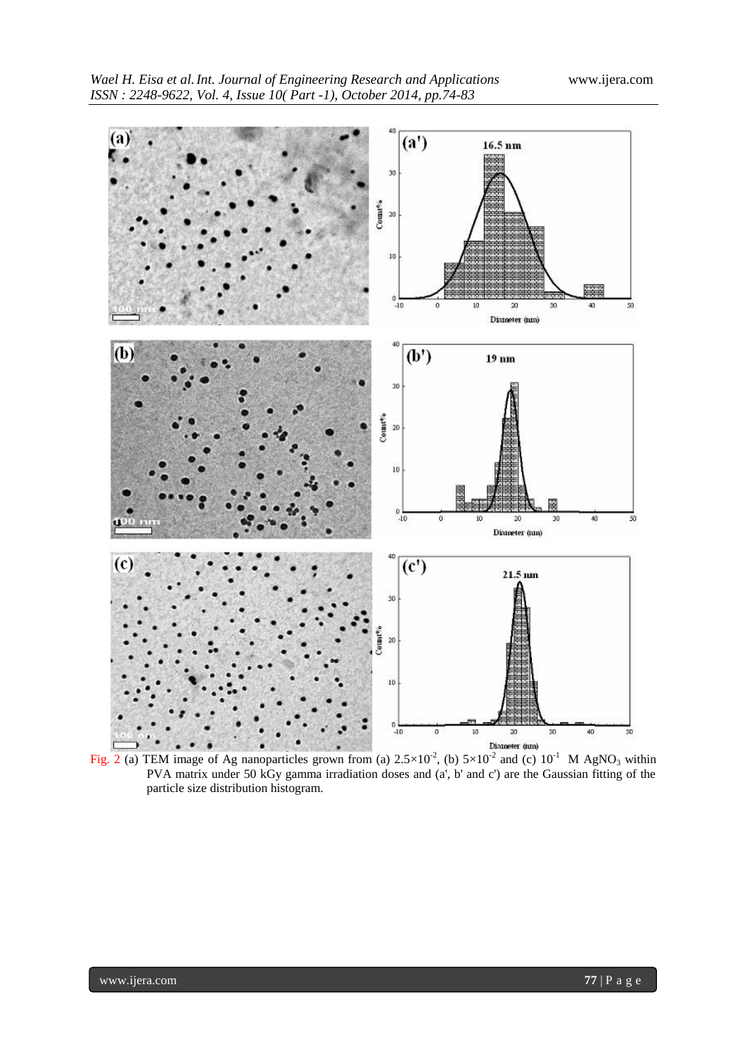

Fig. 2 (a) TEM image of Ag nanoparticles grown from (a)  $2.5 \times 10^{-2}$ , (b)  $5 \times 10^{-2}$  and (c)  $10^{-1}$  M AgNO<sub>3</sub> within PVA matrix under 50 kGy gamma irradiation doses and (a', b' and c') are the Gaussian fitting of the particle size distribution histogram.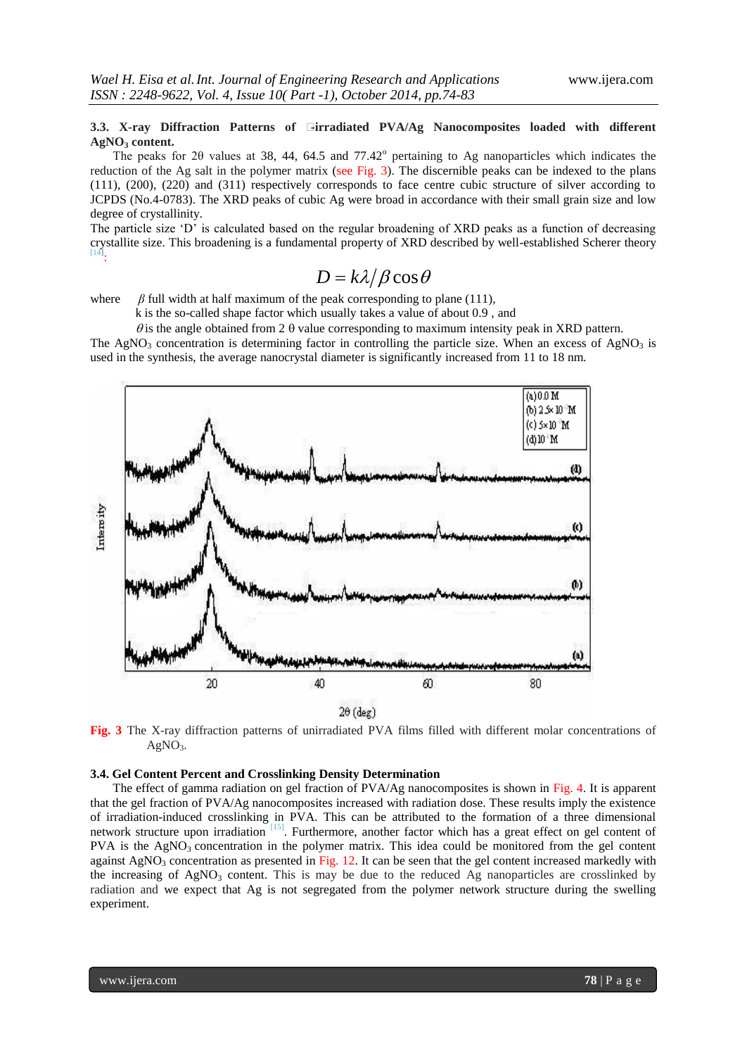# **3.3. X-ray Diffraction Patterns of**  $\exists$ **irradiated PVA/Ag Nanocomposites loaded with different AgNO<sup>3</sup> content.**

The peaks for 20 values at 38, 44, 64.5 and  $77.42^{\circ}$  pertaining to Ag nanoparticles which indicates the reduction of the Ag salt in the polymer matrix (see Fig. 3). The discernible peaks can be indexed to the plans (111), (200), (220) and (311) respectively corresponds to face centre cubic structure of silver according to JCPDS (No.4-0783). The XRD peaks of cubic Ag were broad in accordance with their small grain size and low degree of crystallinity.

The particle size "D" is calculated based on the regular broadening of XRD peaks as a function of decreasing crystallite size. This broadening is a fundamental property of XRD described by well-established Scherer theory [14**]** :

# $D = k\lambda/\beta\cos\theta$

where  $\beta$  full width at half maximum of the peak corresponding to plane (111),

k is the so-called shape factor which usually takes a value of about 0.9 , and

 $\theta$  is the angle obtained from 2  $\theta$  value corresponding to maximum intensity peak in XRD pattern. The AgNO<sub>3</sub> concentration is determining factor in controlling the particle size. When an excess of AgNO<sub>3</sub> is used in the synthesis, the average nanocrystal diameter is significantly increased from 11 to 18 nm.



**Fig. 3** The X-ray diffraction patterns of unirradiated PVA films filled with different molar concentrations of  $AgNO<sub>3</sub>$ .

## **3.4. Gel Content Percent and Crosslinking Density Determination**

The effect of gamma radiation on gel fraction of PVA/Ag nanocomposites is shown in Fig. 4. It is apparent that the gel fraction of PVA/Ag nanocomposites increased with radiation dose. These results imply the existence of irradiation-induced crosslinking in PVA. This can be attributed to the formation of a three dimensional network structure upon irradiation [15]. Furthermore, another factor which has a great effect on gel content of  $PVA$  is the AgNO<sub>3</sub> concentration in the polymer matrix. This idea could be monitored from the gel content against  $AgNO<sub>3</sub>$  concentration as presented in Fig. 12. It can be seen that the gel content increased markedly with the increasing of  $AgNO<sub>3</sub>$  content. This is may be due to the reduced Ag nanoparticles are crosslinked by radiation and we expect that Ag is not segregated from the polymer network structure during the swelling experiment.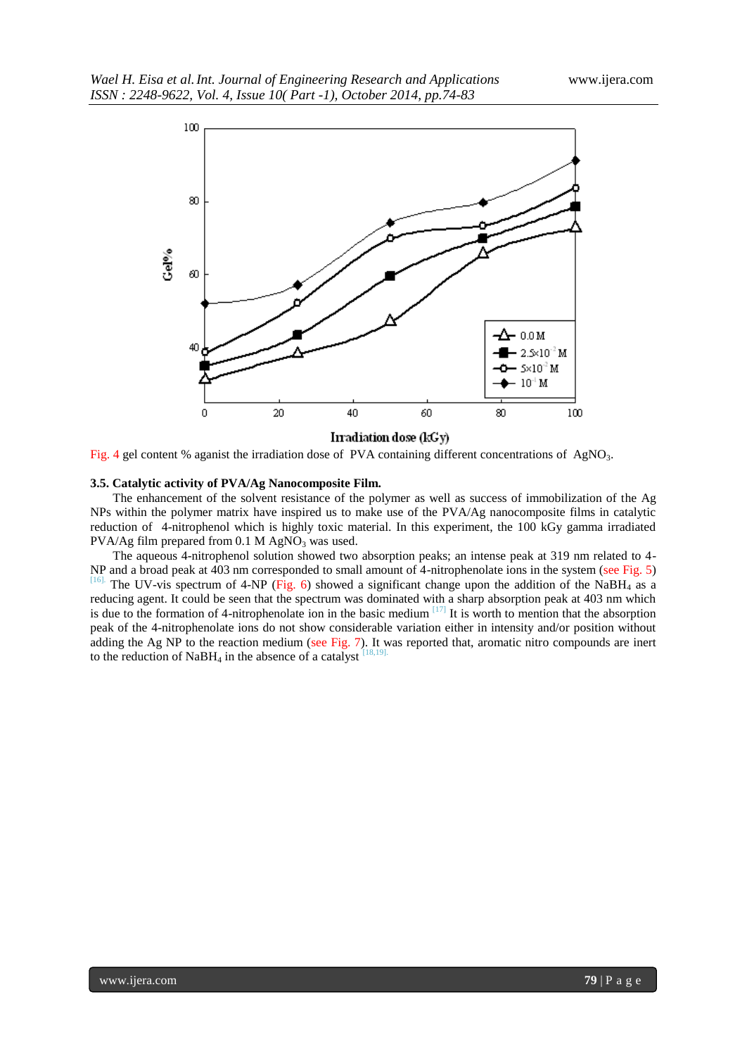

Irradiation dose (kGy)

Fig. 4 gel content % aganist the irradiation dose of PVA containing different concentrations of AgNO<sub>3</sub>.

#### **3.5. Catalytic activity of PVA/Ag Nanocomposite Film.**

The enhancement of the solvent resistance of the polymer as well as success of immobilization of the Ag NPs within the polymer matrix have inspired us to make use of the PVA/Ag nanocomposite films in catalytic reduction of 4-nitrophenol which is highly toxic material. In this experiment, the 100 kGy gamma irradiated PVA/Ag film prepared from  $0.1$  M AgNO<sub>3</sub> was used.

The aqueous 4-nitrophenol solution showed two absorption peaks; an intense peak at 319 nm related to 4- NP and a broad peak at 403 nm corresponded to small amount of 4-nitrophenolate ions in the system (see Fig. 5)  $\frac{[16]}{]}$ . The HV-vis spectrum of 4-NP (Fig. 6) showed a significant change upon the addition of the NaBH, a The UV-vis spectrum of 4-NP (Fig. 6) showed a significant change upon the addition of the NaBH<sub>4</sub> as a reducing agent. It could be seen that the spectrum was dominated with a sharp absorption peak at 403 nm which is due to the formation of 4-nitrophenolate ion in the basic medium  $[17]$  It is worth to mention that the absorption peak of the 4-nitrophenolate ions do not show considerable variation either in intensity and/or position without adding the Ag NP to the reaction medium (see Fig. 7). It was reported that, aromatic nitro compounds are inert to the reduction of NaBH<sub>4</sub> in the absence of a catalyst  $^{[18,19]}$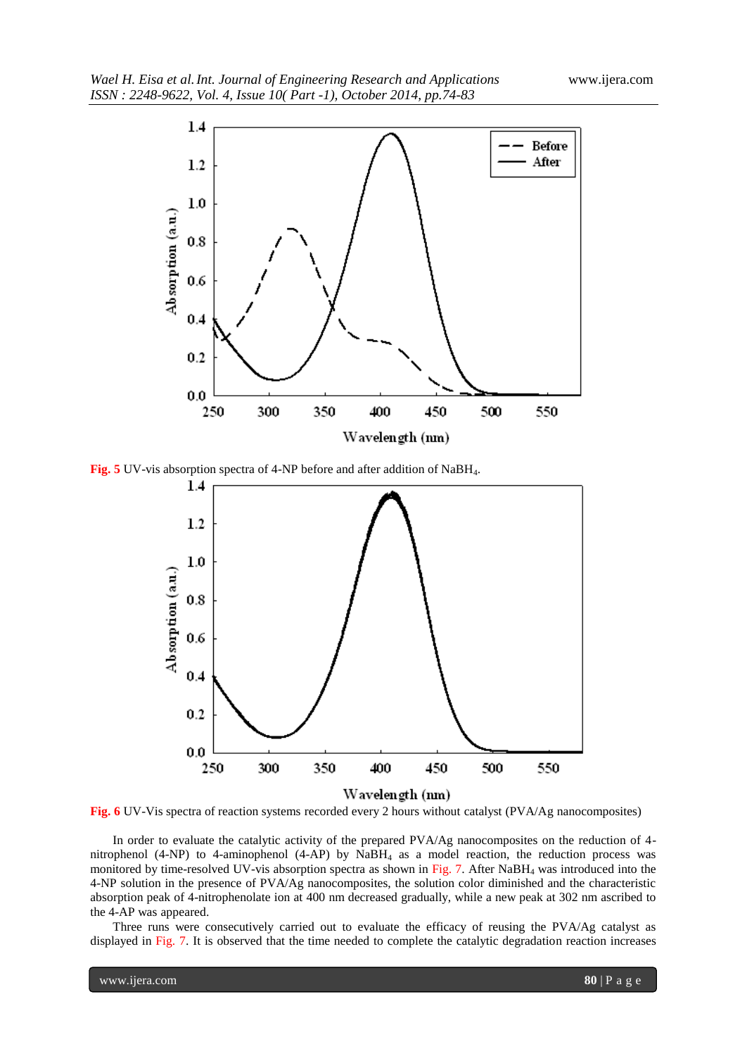

**Fig. 5** UV-vis absorption spectra of 4-NP before and after addition of NaBH4.



**Fig. 6** UV-Vis spectra of reaction systems recorded every 2 hours without catalyst (PVA/Ag nanocomposites)

In order to evaluate the catalytic activity of the prepared PVA/Ag nanocomposites on the reduction of 4 nitrophenol (4-NP) to 4-aminophenol (4-AP) by NaBH<sup>4</sup> as a model reaction, the reduction process was monitored by time-resolved UV-vis absorption spectra as shown in Fig. 7. After NaBH<sub>4</sub> was introduced into the 4-NP solution in the presence of PVA/Ag nanocomposites, the solution color diminished and the characteristic absorption peak of 4-nitrophenolate ion at 400 nm decreased gradually, while a new peak at 302 nm ascribed to the 4-AP was appeared.

Three runs were consecutively carried out to evaluate the efficacy of reusing the PVA/Ag catalyst as displayed in Fig. 7. It is observed that the time needed to complete the catalytic degradation reaction increases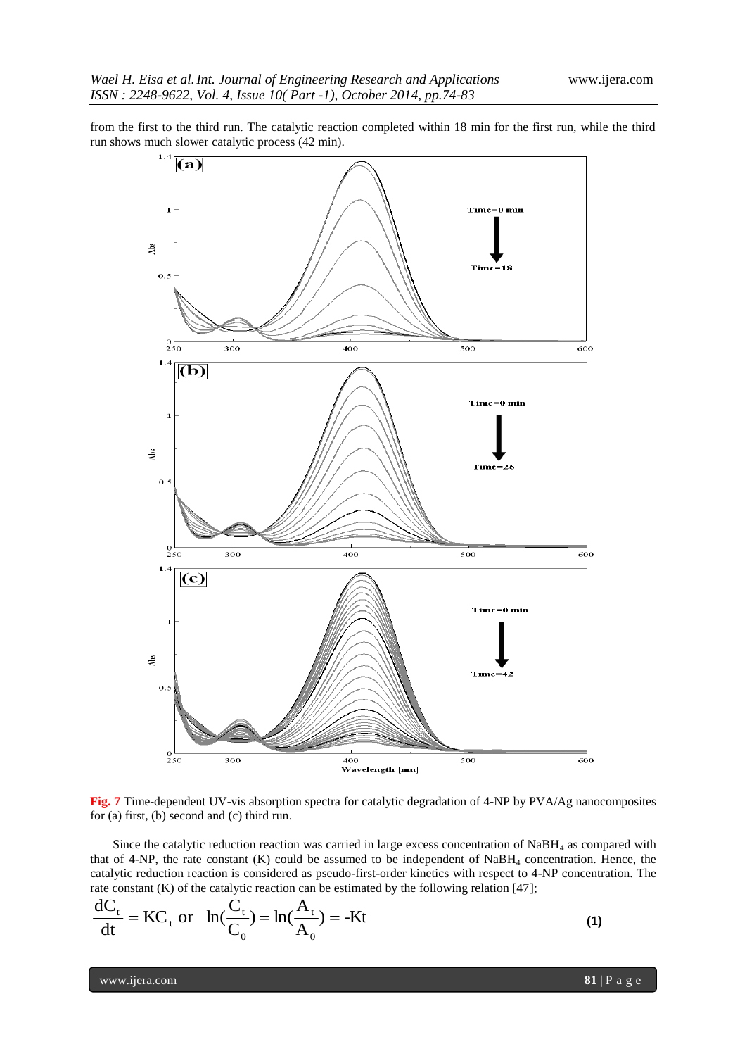from the first to the third run. The catalytic reaction completed within 18 min for the first run, while the third run shows much slower catalytic process (42 min).



**Fig. 7** Time-dependent UV-vis absorption spectra for catalytic degradation of 4-NP by PVA/Ag nanocomposites for (a) first, (b) second and (c) third run.

Since the catalytic reduction reaction was carried in large excess concentration of  $NABH<sub>4</sub>$  as compared with that of 4-NP, the rate constant (K) could be assumed to be independent of NaBH<sup>4</sup> concentration. Hence, the catalytic reduction reaction is considered as pseudo-first-order kinetics with respect to 4-NP concentration. The rate constant (K) of the catalytic reaction can be estimated by the following relation [47];

$$
\frac{dC_t}{dt} = KC_t \text{ or } \ln(\frac{C_t}{C_0}) = \ln(\frac{A_t}{A_0}) = -Kt
$$
\n(1)

www.ijera.com **81** | P a g e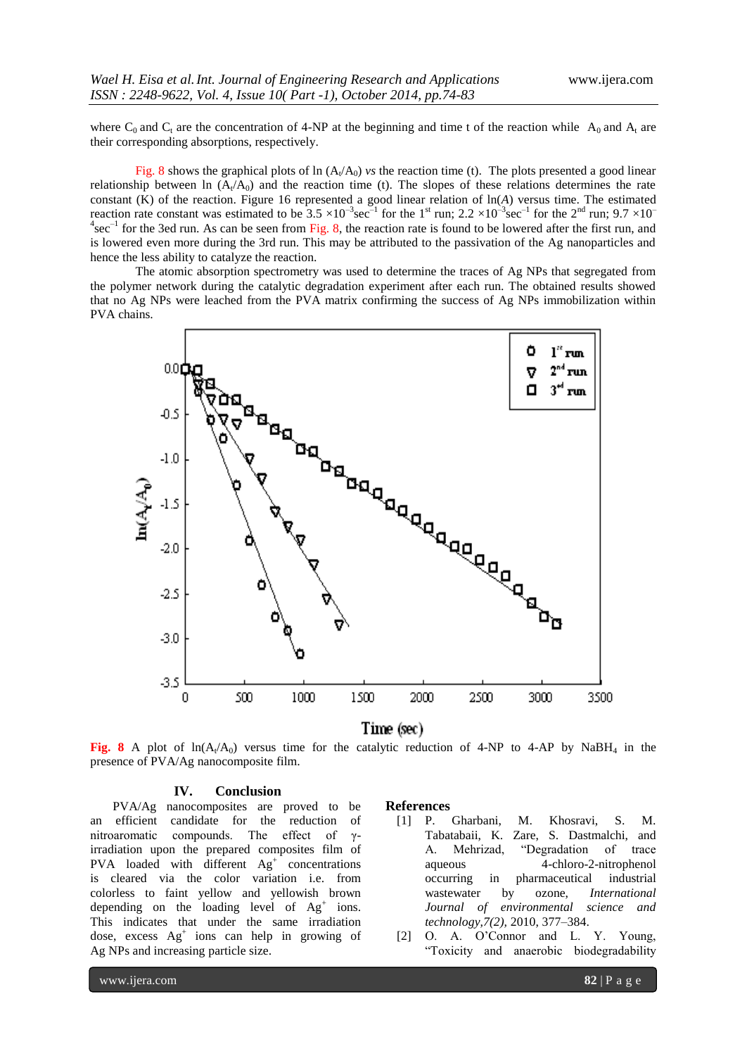where C<sub>0</sub> and C<sub>t</sub> are the concentration of 4-NP at the beginning and time t of the reaction while A<sub>0</sub> and A<sub>t</sub> are their corresponding absorptions, respectively.

Fig. 8 shows the graphical plots of  $\ln(A_t/A_0)$  *vs* the reaction time (t). The plots presented a good linear relationship between ln  $(A_t/A_0)$  and the reaction time (t). The slopes of these relations determines the rate constant (K) of the reaction. Figure 16 represented a good linear relation of ln(*A*) versus time. The estimated reaction rate constant was estimated to be  $3.5 \times 10^{-3}$  sec<sup>-1</sup> for the 1<sup>st</sup> run; 2.2  $\times 10^{-3}$  sec<sup>-1</sup> for the 2<sup>nd</sup> run; 9.7  $\times 10^{-7}$  $4\sec^{-1}$  for the 3ed run. As can be seen from Fig. 8, the reaction rate is found to be lowered after the first run, and is lowered even more during the 3rd run. This may be attributed to the passivation of the Ag nanoparticles and hence the less ability to catalyze the reaction.

The atomic absorption spectrometry was used to determine the traces of Ag NPs that segregated from the polymer network during the catalytic degradation experiment after each run. The obtained results showed that no Ag NPs were leached from the PVA matrix confirming the success of Ag NPs immobilization within PVA chains.



Time (sec)

**Fig.** 8 A plot of  $ln(A_t/A_0)$  versus time for the catalytic reduction of 4-NP to 4-AP by NaBH<sub>4</sub> in the presence of PVA/Ag nanocomposite film.

#### **IV. Conclusion**

PVA/Ag nanocomposites are proved to be an efficient candidate for the reduction of nitroaromatic compounds. The effect of γirradiation upon the prepared composites film of PVA loaded with different  $Ag<sup>+</sup>$  concentrations is cleared via the color variation i.e. from colorless to faint yellow and yellowish brown depending on the loading level of  $Ag<sup>+</sup>$  ions. This indicates that under the same irradiation dose, excess Ag<sup>+</sup> ions can help in growing of Ag NPs and increasing particle size.

#### **References**

- [1] P. Gharbani, M. Khosravi, S. M. Tabatabaii, K. Zare, S. Dastmalchi, and A. Mehrizad, "Degradation of trace aqueous 4-chloro-2-nitrophenol occurring in pharmaceutical industrial wastewater by ozone, *International Journal of environmental science and technology,7(2),* 2010, 377–384.
- [2] O. A. O"Connor and L. Y. Young, "Toxicity and anaerobic biodegradability